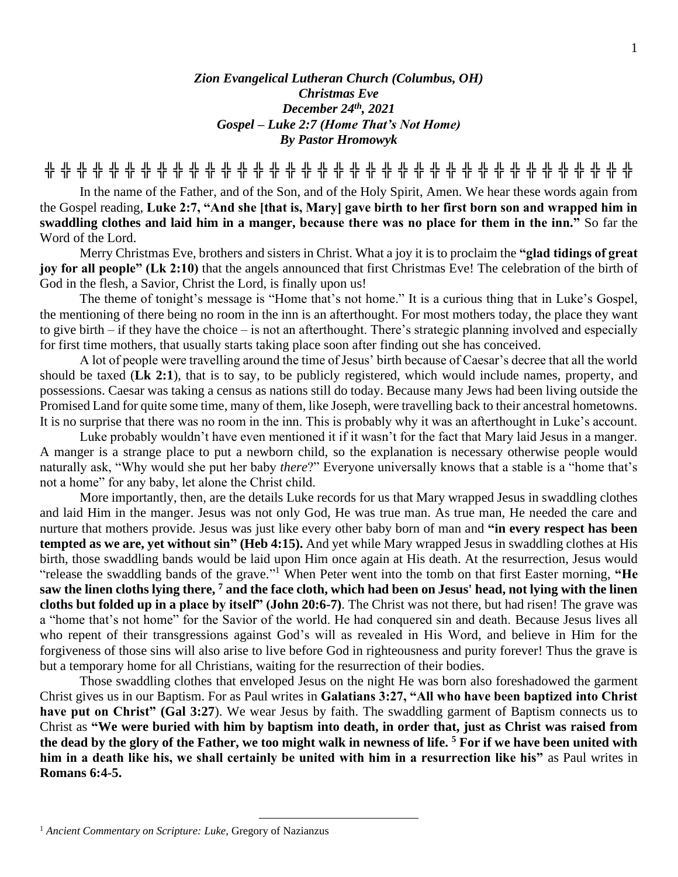## *Zion Evangelical Lutheran Church (Columbus, OH) Christmas Eve December 24th, 2021 Gospel – Luke 2:7 (Home That's Not Home) By Pastor Hromowyk*

**╬ ╬ ╬ ╬ ╬ ╬ ╬ ╬ ╬ ╬ ╬ ╬ ╬ ╬ ╬ ╬ ╬ ╬ ╬ ╬ ╬ ╬ ╬ ╬ ╬ ╬ ╬ ╬ ╬ ╬ ╬ ╬ ╬ ╬ ╬ ╬ ╬**

In the name of the Father, and of the Son, and of the Holy Spirit, Amen. We hear these words again from the Gospel reading, **Luke 2:7, "And she [that is, Mary] gave birth to her first born son and wrapped him in swaddling clothes and laid him in a manger, because there was no place for them in the inn."** So far the Word of the Lord.

Merry Christmas Eve, brothers and sisters in Christ. What a joy it is to proclaim the **"glad tidings of great joy for all people" (Lk 2:10)** that the angels announced that first Christmas Eve! The celebration of the birth of God in the flesh, a Savior, Christ the Lord, is finally upon us!

The theme of tonight's message is "Home that's not home." It is a curious thing that in Luke's Gospel, the mentioning of there being no room in the inn is an afterthought. For most mothers today, the place they want to give birth – if they have the choice – is not an afterthought. There's strategic planning involved and especially for first time mothers, that usually starts taking place soon after finding out she has conceived.

A lot of people were travelling around the time of Jesus' birth because of Caesar's decree that all the world should be taxed (**Lk 2:1**), that is to say, to be publicly registered, which would include names, property, and possessions. Caesar was taking a census as nations still do today. Because many Jews had been living outside the Promised Land for quite some time, many of them, like Joseph, were travelling back to their ancestral hometowns. It is no surprise that there was no room in the inn. This is probably why it was an afterthought in Luke's account.

Luke probably wouldn't have even mentioned it if it wasn't for the fact that Mary laid Jesus in a manger. A manger is a strange place to put a newborn child, so the explanation is necessary otherwise people would naturally ask, "Why would she put her baby *there*?" Everyone universally knows that a stable is a "home that's not a home" for any baby, let alone the Christ child.

More importantly, then, are the details Luke records for us that Mary wrapped Jesus in swaddling clothes and laid Him in the manger. Jesus was not only God, He was true man. As true man, He needed the care and nurture that mothers provide. Jesus was just like every other baby born of man and **"in every respect has been tempted as we are, yet without sin" (Heb 4:15).** And yet while Mary wrapped Jesus in swaddling clothes at His birth, those swaddling bands would be laid upon Him once again at His death. At the resurrection, Jesus would "release the swaddling bands of the grave."<sup>1</sup> When Peter went into the tomb on that first Easter morning, "He **saw the linen cloths lying there, <sup>7</sup> and the face cloth, which had been on Jesus' head, not lying with the linen cloths but folded up in a place by itself" (John 20:6-7)**. The Christ was not there, but had risen! The grave was a "home that's not home" for the Savior of the world. He had conquered sin and death. Because Jesus lives all who repent of their transgressions against God's will as revealed in His Word, and believe in Him for the forgiveness of those sins will also arise to live before God in righteousness and purity forever! Thus the grave is but a temporary home for all Christians, waiting for the resurrection of their bodies.

Those swaddling clothes that enveloped Jesus on the night He was born also foreshadowed the garment Christ gives us in our Baptism. For as Paul writes in **Galatians 3:27, "All who have been baptized into Christ have put on Christ" (Gal 3:27**). We wear Jesus by faith. The swaddling garment of Baptism connects us to Christ as **"We were buried with him by baptism into death, in order that, just as Christ was raised from the dead by the glory of the Father, we too might walk in newness of life. <sup>5</sup> For if we have been united with him in a death like his, we shall certainly be united with him in a resurrection like his"** as Paul writes in **Romans 6:4-5.**

<sup>1</sup> *Ancient Commentary on Scripture: Luke,* Gregory of Nazianzus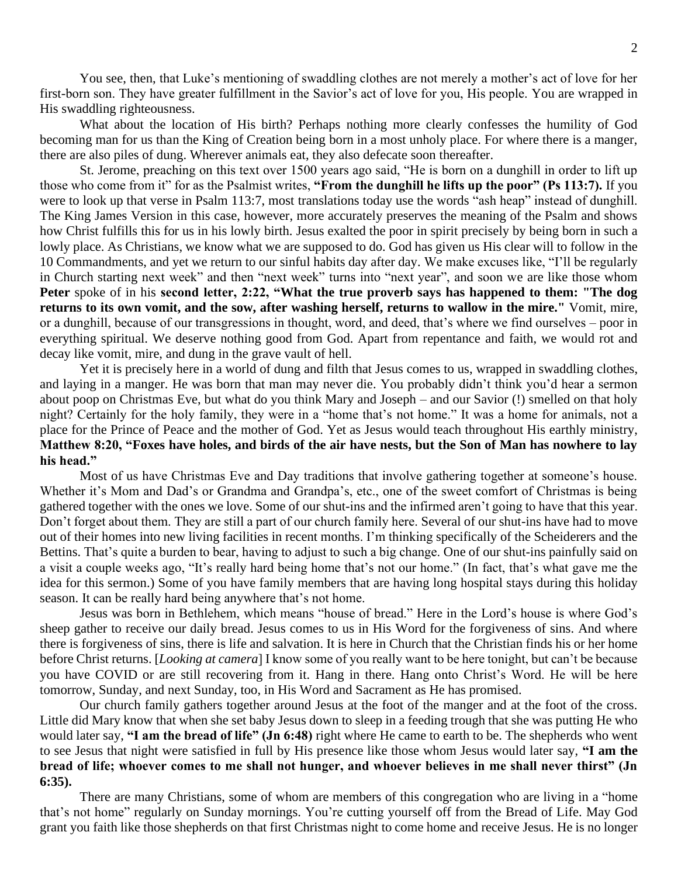You see, then, that Luke's mentioning of swaddling clothes are not merely a mother's act of love for her first-born son. They have greater fulfillment in the Savior's act of love for you, His people. You are wrapped in His swaddling righteousness.

What about the location of His birth? Perhaps nothing more clearly confesses the humility of God becoming man for us than the King of Creation being born in a most unholy place. For where there is a manger, there are also piles of dung. Wherever animals eat, they also defecate soon thereafter.

St. Jerome, preaching on this text over 1500 years ago said, "He is born on a dunghill in order to lift up those who come from it" for as the Psalmist writes, **"From the dunghill he lifts up the poor" (Ps 113:7).** If you were to look up that verse in Psalm 113:7, most translations today use the words "ash heap" instead of dunghill. The King James Version in this case, however, more accurately preserves the meaning of the Psalm and shows how Christ fulfills this for us in his lowly birth. Jesus exalted the poor in spirit precisely by being born in such a lowly place. As Christians, we know what we are supposed to do. God has given us His clear will to follow in the 10 Commandments, and yet we return to our sinful habits day after day. We make excuses like, "I'll be regularly in Church starting next week" and then "next week" turns into "next year", and soon we are like those whom **Peter** spoke of in his **second letter, 2:22, "What the true proverb says has happened to them: "The dog returns to its own vomit, and the sow, after washing herself, returns to wallow in the mire."** Vomit, mire, or a dunghill, because of our transgressions in thought, word, and deed, that's where we find ourselves – poor in everything spiritual. We deserve nothing good from God. Apart from repentance and faith, we would rot and decay like vomit, mire, and dung in the grave vault of hell.

Yet it is precisely here in a world of dung and filth that Jesus comes to us, wrapped in swaddling clothes, and laying in a manger. He was born that man may never die. You probably didn't think you'd hear a sermon about poop on Christmas Eve, but what do you think Mary and Joseph – and our Savior (!) smelled on that holy night? Certainly for the holy family, they were in a "home that's not home." It was a home for animals, not a place for the Prince of Peace and the mother of God. Yet as Jesus would teach throughout His earthly ministry, **Matthew 8:20, "Foxes have holes, and birds of the air have nests, but the Son of Man has nowhere to lay his head."**

Most of us have Christmas Eve and Day traditions that involve gathering together at someone's house. Whether it's Mom and Dad's or Grandma and Grandpa's, etc., one of the sweet comfort of Christmas is being gathered together with the ones we love. Some of our shut-ins and the infirmed aren't going to have that this year. Don't forget about them. They are still a part of our church family here. Several of our shut-ins have had to move out of their homes into new living facilities in recent months. I'm thinking specifically of the Scheiderers and the Bettins. That's quite a burden to bear, having to adjust to such a big change. One of our shut-ins painfully said on a visit a couple weeks ago, "It's really hard being home that's not our home." (In fact, that's what gave me the idea for this sermon.) Some of you have family members that are having long hospital stays during this holiday season. It can be really hard being anywhere that's not home.

Jesus was born in Bethlehem, which means "house of bread." Here in the Lord's house is where God's sheep gather to receive our daily bread. Jesus comes to us in His Word for the forgiveness of sins. And where there is forgiveness of sins, there is life and salvation. It is here in Church that the Christian finds his or her home before Christ returns. [*Looking at camera*] I know some of you really want to be here tonight, but can't be because you have COVID or are still recovering from it. Hang in there. Hang onto Christ's Word. He will be here tomorrow, Sunday, and next Sunday, too, in His Word and Sacrament as He has promised.

Our church family gathers together around Jesus at the foot of the manger and at the foot of the cross. Little did Mary know that when she set baby Jesus down to sleep in a feeding trough that she was putting He who would later say, **"I am the bread of life" (Jn 6:48)** right where He came to earth to be. The shepherds who went to see Jesus that night were satisfied in full by His presence like those whom Jesus would later say, **"I am the bread of life; whoever comes to me shall not hunger, and whoever believes in me shall never thirst" (Jn 6:35).** 

There are many Christians, some of whom are members of this congregation who are living in a "home that's not home" regularly on Sunday mornings. You're cutting yourself off from the Bread of Life. May God grant you faith like those shepherds on that first Christmas night to come home and receive Jesus. He is no longer